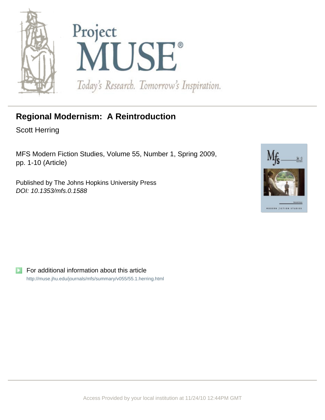



# **Regional Modernism: A Reintroduction**

Scott Herring

MFS Modern Fiction Studies, Volume 55, Number 1, Spring 2009, pp. 1-10 (Article)

Published by The Johns Hopkins University Press DOI: 10.1353/mfs.0.1588



For additional information about this article <http://muse.jhu.edu/journals/mfs/summary/v055/55.1.herring.html>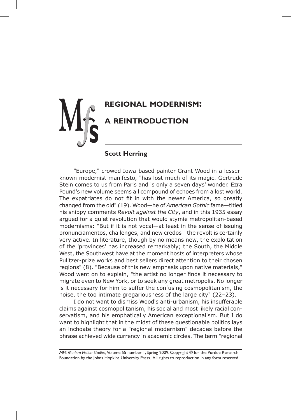

# **Scott Herring**

"Europe," crowed Iowa-based painter Grant Wood in a lesserknown modernist manifesto, "has lost much of its magic. Gertrude Stein comes to us from Paris and is only a seven days' wonder. Ezra Pound's new volume seems all compound of echoes from a lost world. The expatriates do not fit in with the newer America, so greatly changed from the old" (19). Wood—he of *American Gothic* fame—titled his snippy comments *Revolt against the City*, and in this 1935 essay argued for a quiet revolution that would stymie metropolitan-based modernisms: "But if it is not vocal—at least in the sense of issuing pronunciamentos, challenges, and new credos—the revolt is certainly very active. In literature, though by no means new, the exploitation of the 'provinces' has increased remarkably; the South, the Middle West, the Southwest have at the moment hosts of interpreters whose Pulitzer-prize works and best sellers direct attention to their chosen regions" (8). "Because of this new emphasis upon native materials," Wood went on to explain, "the artist no longer finds it necessary to migrate even to New York, or to seek any great metropolis. No longer is it necessary for him to suffer the confusing cosmopolitanism, the noise, the too intimate gregariousness of the large city" (22–23).

I do not want to dismiss Wood's anti-urbanism, his insufferable claims against cosmopolitanism, his social and most likely racial conservatism, and his emphatically American exceptionalism. But I do want to highlight that in the midst of these questionable politics lays an inchoate theory for a "regional modernism" decades before the phrase achieved wide currency in academic circles. The term "regional

*MFS Modern Fiction Studies,* Volume 55 number 1, Spring 2009. Copyright © for the Purdue Research Foundation by the Johns Hopkins University Press. All rights to reproduction in any form reserved.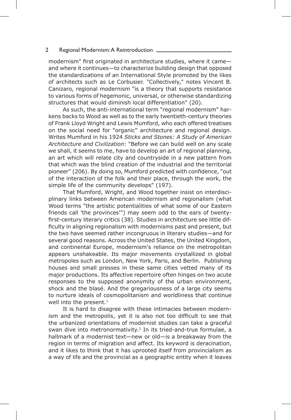### 2 Regional Modernism: A Reintroduction

modernism" first originated in architecture studies, where it came and where it continues—to characterize building design that opposed the standardizations of an International Style promoted by the likes of architects such as Le Corbusier. "Collectively," notes Vincent B. Canizaro, regional modernism "is a theory that supports resistance to various forms of hegemonic, universal, or otherwise standardizing structures that would diminish local differentiation" (20).

As such, the anti-international term "regional modernism" harkens backs to Wood as well as to the early twentieth-century theories of Frank Lloyd Wright and Lewis Mumford, who each offered treatises on the social need for "organic" architecture and regional design. Writes Mumford in his 1924 *Sticks and Stones: A Study of American Architecture and Civilization*: "Before we can build well on any scale we shall, it seems to me, have to develop an art of regional planning, an art which will relate city and countryside in a new pattern from that which was the blind creation of the industrial and the territorial pioneer" (206). By doing so, Mumford predicted with confidence, "out of the interaction of the folk and their place, through the work, the simple life of the community develops" (197).

That Mumford, Wright, and Wood together insist on interdisciplinary links between American modernism and regionalism (what Wood terms "the artistic potentialities of what some of our Eastern friends call 'the provinces'") may seem odd to the ears of twentyfirst-century literary critics (38). Studies in architecture see little difficulty in aligning regionalism with modernisms past and present, but the two have seemed rather incongruous in literary studies—and for several good reasons. Across the United States, the United Kingdom, and continental Europe, modernism's reliance on the metropolitan appears unshakeable. Its major movements crystallized in global metropoles such as London, New York, Paris, and Berlin. Publishing houses and small presses in these same cities vetted many of its major productions. Its affective repertoire often hinges on two acute responses to the supposed anonymity of the urban environment, shock and the blasé. And the gregariousness of a large city seems to nurture ideals of cosmopolitanism and worldliness that continue well into the present.<sup>1</sup>

It is hard to disagree with these intimacies between modernism and the metropolis, yet it is also not too difficult to see that the urbanized orientations of modernist studies can take a graceful swan dive into metronormativity.<sup>2</sup> In its tried-and-true formulae, a hallmark of a modernist text—new or old—is a breakaway from the region in terms of migration and affect. Its keyword is deracination, and it likes to think that it has uprooted itself from provincialism as a way of life and the provincial as a geographic entity when it leaves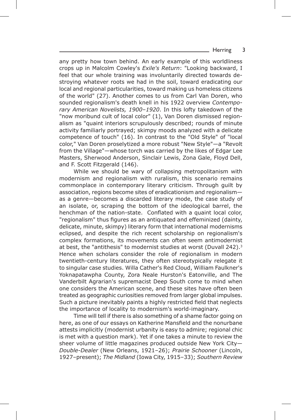## Herring 3

any pretty how town behind. An early example of this worldliness crops up in Malcolm Cowley's *Exile's Return*: "Looking backward, I feel that our whole training was involuntarily directed towards destroying whatever roots we had in the soil, toward eradicating our local and regional particularities, toward making us homeless citizens of the world" (27). Another comes to us from Carl Van Doren, who sounded regionalism's death knell in his 1922 overview *Contemporary American Novelists, 1900–1920*. In this lofty takedown of the "now moribund cult of local color" (1), Van Doren dismissed regionalism as "quaint interiors scrupulously described; rounds of minute activity familiarly portrayed; skimpy moods analyzed with a delicate competence of touch" (16). In contrast to the "Old Style" of "local color," Van Doren proselytized a more robust "New Style"—a "Revolt from the Village"—whose torch was carried by the likes of Edgar Lee Masters, Sherwood Anderson, Sinclair Lewis, Zona Gale, Floyd Dell, and F. Scott Fitzgerald (146).

While we should be wary of collapsing metropolitanism with modernism and regionalism with ruralism, this scenario remains commonplace in contemporary literary criticism. Through guilt by association, regions become sites of eradicationism and regionalism as a genre—becomes a discarded literary mode, the case study of an isolate, or, scraping the bottom of the ideological barrel, the henchman of the nation-state. Conflated with a quaint local color, "regionalism" thus figures as an antiquated and effeminized (dainty, delicate, minute, skimpy) literary form that international modernisms eclipsed, and despite the rich recent scholarship on regionalism's complex formations, its movements can often seem antimodernist at best, the "antithesis" to modernist studies at worst (Duvall 242).<sup>3</sup> Hence when scholars consider the role of regionalism in modern twentieth-century literatures, they often stereotypically relegate it to singular case studies. Willa Cather's Red Cloud, William Faulkner's Yoknapatawpha County, Zora Neale Hurston's Eatonville, and The Vanderbilt Agrarian's supremacist Deep South come to mind when one considers the American scene, and these sites have often been treated as geographic curiosities removed from larger global impulses. Such a picture inevitably paints a highly restricted field that neglects the importance of locality to modernism's world-imaginary.

Time will tell if there is also something of a shame factor going on here, as one of our essays on Katherine Mansfield and the nonurbane attests implicitly (modernist urbanity is easy to admire; regional chic is met with a question mark). Yet if one takes a minute to review the sheer volume of little magazines produced outside New York City— *Double-Dealer* (New Orleans, 1921–26); *Prairie Schooner* (Lincoln, 1927–present); *The Midland* (Iowa City, 1915–33); *Southern Review*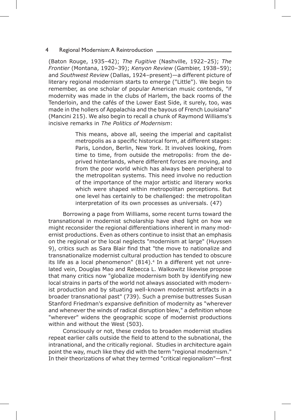### 4 Regional Modernism: A Reintroduction.

(Baton Rouge, 1935–42); *The Fugitive* (Nashville, 1922–25); *The Frontier* (Montana, 1920–39); *Kenyon Review* (Gambier, 1938–59); and *Southwest Review* (Dallas, 1924–present)—a different picture of literary regional modernism starts to emerge ("Little"). We begin to remember, as one scholar of popular American music contends, "if modernity was made in the clubs of Harlem, the back rooms of the Tenderloin, and the cafés of the Lower East Side, it surely, too, was made in the hollers of Appalachia and the bayous of French Louisiana" (Mancini 215). We also begin to recall a chunk of Raymond Williams's incisive remarks in *The Politics of Modernism*:

> This means, above all, seeing the imperial and capitalist metropolis as a specific historical form, at different stages: Paris, London, Berlin, New York. It involves looking, from time to time, from outside the metropolis: from the deprived hinterlands, where different forces are moving, and from the poor world which has always been peripheral to the metropolitan systems. This need involve no reduction of the importance of the major artistic and literary works which were shaped within metropolitan perceptions. But one level has certainly to be challenged: the metropolitan interpretation of its own processes as universals. (47)

Borrowing a page from Williams, some recent turns toward the transnational in modernist scholarship have shed light on how we might reconsider the regional differentiations inherent in many modernist productions. Even as others continue to insist that an emphasis on the regional or the local neglects "modernism at large" (Huyssen 9), critics such as Sara Blair find that "the move to nationalize and transnationalize modernist cultural production has tended to obscure its life as a local phenomenon" (814).<sup>4</sup> In a different yet not unrelated vein, Douglas Mao and Rebecca L. Walkowitz likewise propose that many critics now "globalize modernism both by identifying new local strains in parts of the world not always associated with modernist production and by situating well-known modernist artifacts in a broader transnational past" (739). Such a premise buttresses Susan Stanford Friedman's expansive definition of modernity as "wherever and whenever the winds of radical disruption blew," a definition whose "wherever" widens the geographic scope of modernist productions within and without the West (503).

Consciously or not, these credos to broaden modernist studies repeat earlier calls outside the field to attend to the subnational, the intranational, and the critically regional. Studies in architecture again point the way, much like they did with the term "regional modernism." In their theorizations of what they termed "critical regionalism"—first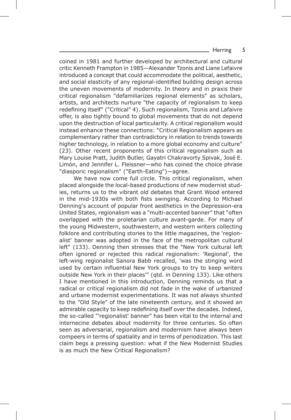## Herring 5

coined in 1981 and further developed by architectural and cultural critic Kenneth Frampton in 1985—Alexander Tzonis and Liane Lefaivre introduced a concept that could accommodate the political, aesthetic, and social elasticity of any regional-identified building design across the uneven movements of modernity. In theory and in praxis their critical regionalism "defamiliarizes regional elements" as scholars, artists, and architects nurture "the capacity of regionalism to keep redefining itself" ("Critical" 4). Such regionalism, Tzonis and Lafaivre offer, is also tightly bound to global movements that do not depend upon the destruction of local particularity. A critical regionalism would instead enhance these connections: "Critical Regionalism appears as complementary rather than contradictory in relation to trends towards higher technology, in relation to a more global economy and culture" (23). Other recent proponents of this critical regionalism such as Mary Louise Pratt, Judith Butler, Gayatri Chakravorty Spivak, José E. Limón, and Jennifer L. Fleissner—who has coined the choice phrase "diasporic regionalism" ("Earth-Eating")—agree.

We have now come full circle. This critical regionalism, when placed alongside the local-based productions of new modernist studies, returns us to the vibrant old debates that Grant Wood entered in the mid-1930s with both fists swinging. According to Michael Denning's account of popular front aesthetics in the Depression-era United States, regionalism was a "multi-accented banner" that "often overlapped with the proletarian culture avant-garde. For many of the young Midwestern, southwestern, and western writers collecting folklore and contributing stories to the little magazines, the 'regionalist' banner was adopted in the face of the metropolitan cultural left" (133). Denning then stresses that the "New York cultural left often ignored or rejected this radical regionalism: 'Regional', the left-wing regionalist Sanora Babb recalled, 'was the stinging word used by certain influential New York groups to try to keep writers outside New York in their places'" (qtd. in Denning 133). Like others I have mentioned in this introduction, Denning reminds us that a radical or critical regionalism did not fade in the wake of urbanized and urbane modernist experimentations. It was not always shunted to the "Old Style" of the late nineteenth century, and it showed an admirable capacity to keep redefining itself over the decades. Indeed, the so-called "'regionalist' banner" has been vital to the internal and internecine debates about modernity for three centuries. So often seen as adversarial, regionalism and modernism have always been compeers in terms of spatiality and in terms of periodization. This last claim begs a pressing question: what if the New Modernist Studies is as much the New Critical Regionalism?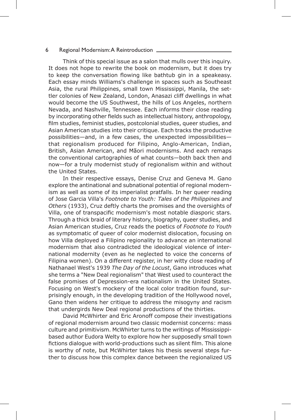# 6 Regional Modernism: A Reintroduction

Think of this special issue as a salon that mulls over this inquiry. It does not hope to rewrite the book on modernism, but it does try to keep the conversation flowing like bathtub gin in a speakeasy. Each essay minds Williams's challenge in spaces such as Southeast Asia, the rural Philippines, small town Mississippi, Manila, the settler colonies of New Zealand, London, Anasazi cliff dwellings in what would become the US Southwest, the hills of Los Angeles, northern Nevada, and Nashville, Tennessee. Each informs their close reading by incorporating other fields such as intellectual history, anthropology, film studies, feminist studies, postcolonial studies, queer studies, and Asian American studies into their critique. Each tracks the productive possibilities—and, in a few cases, the unexpected impossibilities that regionalism produced for Filipino, Anglo-American, Indian, British, Asian American, and Mãori modernisms. And each remaps the conventional cartographies of what counts—both back then and now—for a truly modernist study of regionalism within and without the United States.

In their respective essays, Denise Cruz and Geneva M. Gano explore the antinational and subnational potential of regional modernism as well as some of its imperialist pratfalls. In her queer reading of Jose Garcia Villa's *Footnote to Youth: Tales of the Philippines and Others* (1933), Cruz deftly charts the promises and the oversights of Villa, one of transpacific modernism's most notable diasporic stars. Through a thick braid of literary history, biography, queer studies, and Asian American studies, Cruz reads the poetics of *Footnote to Youth* as symptomatic of queer of color modernist dislocation, focusing on how Villa deployed a Filipino regionality to advance an international modernism that also contradicted the ideological violence of international modernity (even as he neglected to voice the concerns of Filipina women). On a different register, in her witty close reading of Nathanael West's 1939 *The Day of the Locust*, Gano introduces what she terms a "New Deal regionalism" that West used to counteract the false promises of Depression-era nationalism in the United States. Focusing on West's mockery of the local color tradition found, surprisingly enough, in the developing tradition of the Hollywood novel, Gano then widens her critique to address the misogyny and racism that undergirds New Deal regional productions of the thirties.

David McWhirter and Eric Aronoff compose their investigations of regional modernism around two classic modernist concerns: mass culture and primitivism. McWhirter turns to the writings of Mississippibased author Eudora Welty to explore how her supposedly small town fictions dialogue with world-productions such as silent film. This alone is worthy of note, but McWhirter takes his thesis several steps further to discuss how this complex dance between the regionalized US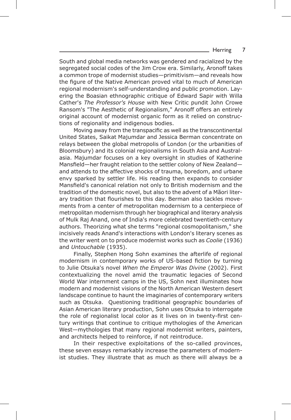## Herring 7

South and global media networks was gendered and racialized by the segregated social codes of the Jim Crow era. Similarly, Aronoff takes a common trope of modernist studies—primitivism—and reveals how the figure of the Native American proved vital to much of American regional modernism's self-understanding and public promotion. Layering the Boasian ethnographic critique of Edward Sapir with Willa Cather's *The Professor's House* with New Critic pundit John Crowe Ransom's "The Aesthetic of Regionalism," Aronoff offers an entirely original account of modernist organic form as it relied on constructions of regionality and indigenous bodies.

Moving away from the transpacific as well as the transcontinental United States, Saikat Majumdar and Jessica Berman concentrate on relays between the global metropolis of London (or the urbanities of Bloomsbury) and its colonial regionalisms in South Asia and Australasia. Majumdar focuses on a key oversight in studies of Katherine Mansfield—her fraught relation to the settler colony of New Zealand and attends to the affective shocks of trauma, boredom, and urbane envy sparked by settler life. His reading then expands to consider Mansfield's canonical relation not only to British modernism and the tradition of the domestic novel, but also to the advent of a Mãori literary tradition that flourishes to this day. Berman also tackles movements from a center of metropolitan modernism to a centerpiece of metropolitan modernism through her biographical and literary analysis of Mulk Raj Anand, one of India's more celebrated twentieth-century authors. Theorizing what she terms "regional cosmopolitanism," she incisively reads Anand's interactions with London's literary scenes as the writer went on to produce modernist works such as *Coolie* (1936) and *Untouchable* (1935).

Finally, Stephen Hong Sohn examines the afterlife of regional modernism in contemporary works of US-based fiction by turning to Julie Otsuka's novel *When the Emperor Was Divine* (2002). First contextualizing the novel amid the traumatic legacies of Second World War internment camps in the US, Sohn next illuminates how modern and modernist visions of the North American Western desert landscape continue to haunt the imaginaries of contemporary writers such as Otsuka. Questioning traditional geographic boundaries of Asian American literary production, Sohn uses Otsuka to interrogate the role of regionalist local color as it lives on in twenty-first century writings that continue to critique mythologies of the American West—mythologies that many regional modernist writers, painters, and architects helped to reinforce, if not reintroduce.

In their respective exploitations of the so-called provinces, these seven essays remarkably increase the parameters of modernist studies. They illustrate that as much as there will always be a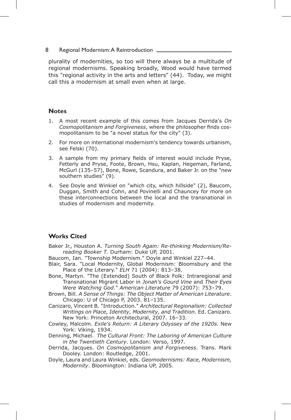# 8 Regional Modernism: A Reintroduction \_

plurality of modernities, so too will there always be a multitude of regional modernisms. Speaking broadly, Wood would have termed this "regional activity in the arts and letters" (44). Today, we might call this a modernism at small even when at large.

# **Notes**

- 1. A most recent example of this comes from Jacques Derrida's *On Cosmopolitanism and Forgiveness*, where the philosopher finds cosmopolitanism to be "a novel status for the city" (3).
- 2. For more on international modernism's tendency towards urbanism, see Felski (70).
- 3. A sample from my primary fields of interest would include Pryse, Fetterly and Pryse, Foote, Brown, Hsu, Kaplan, Hegeman, Farland, McGurl (135–57), Bone, Rowe, Scandura, and Baker Jr. on the "new southern studies" (9).
- 4. See Doyle and Winkiel on "which city, which hillside" (2), Baucom, Duggan, Smith and Cohn, and Povinelli and Chauncey for more on these interconnections between the local and the transnational in studies of modernism and modernity.

# **Works Cited**

- Baker Jr., Houston A. *Turning South Again: Re-thinking Modernism/Rereading Booker T.* Durham: Duke UP, 2001.
- Baucom, Ian. "Township Modernism." Doyle and Winkiel 227–44.
- Blair, Sara. "Local Modernity, Global Modernism: Bloomsbury and the Place of the Literary." *ELH* 71 (2004): 813–38.
- Bone, Martyn. "The (Extended) South of Black Folk: Intraregional and Transnational Migrant Labor in *Jonah's Gourd Vine* and *Their Eyes Were Watching God*." *American Literature* 79 (2007): 753–79.
- Brown, Bill. *A Sense of Things: The Object Matter of American Literature*. Chicago: U of Chicago P, 2003. 81–135.
- Canizaro, Vincent B. "Introduction." *Architectural Regionalism: Collected Writings on Place, Identity, Modernity, and Tradition*. Ed. Canizaro. New York: Princeton Architectural, 2007. 16–33.
- Cowley, Malcolm. *Exile's Return: A Literary Odyssey of the 1920s*. New York: Viking, 1934.
- Denning, Michael.*The Cultural Front: The Laboring of American Culture in the Twentieth Century*. London: Verso, 1997.
- Derrida, Jacques. *On Cosmopolitanism and Forgiveness*. Trans. Mark Dooley. London: Routledge, 2001.
- Doyle, Laura and Laura Winkiel, eds. *Geomodernisms: Race, Modernism, Modernity*. Bloomington: Indiana UP, 2005.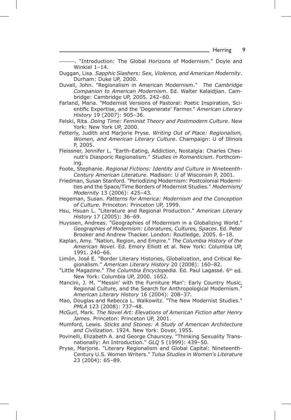———. "Introduction: The Global Horizons of Modernism." Doyle and Winkiel 1–14.

- Duggan, Lisa. *Sapphic Slashers: Sex, Violence, and American Modernity*. Durham: Duke UP, 2000.
- Duvall, John. "Regionalism in American Modernism." *The Cambridge Companion to American Modernism*. Ed. Walter Kalaidjian. Cambridge: Cambridge UP, 2005. 242–60.
- Farland, Maria. "Modernist Versions of Pastoral: Poetic Inspiration, Scientific Expertise, and the 'Degenerate' Farmer." *American Literary History* 19 (2007): 905–36.
- Felski, Rita. *Doing Time: Feminist Theory and Postmodern Culture*. New York: New York UP, 2000.
- Fetterly, Judith and Marjorie Pryse. *Writing Out of Place: Regionalism, Women, and American Literary Culture*. Champaign: U of Illinois P, 2005.
- Fleissner, Jennifer L. "Earth-Eating, Addiction, Nostalgia: Charles Chesnutt's Diasporic Regionalism." *Studies in Romanticism*. Forthcoming.
- Foote, Stephanie. *Regional Fictions: Identity and Culture in Nineteenth-Century American Literature*. Madison: U of Wisconsin P, 2001.
- Friedman, Susan Stanford. "Periodizing Modernism: Postcolonial Modernities and the Space/Time Borders of Modernist Studies." *Modernism/ Modernity* 13 (2006): 425–43.
- Hegeman, Susan. *Patterns for America: Modernism and the Conception of Culture*. Princeton: Princeton UP, 1999.
- Hsu, Hsuan L. "Literature and Regional Production." *American Literary History* 17 (2005): 36–69.
- Huyssen, Andreas. "Geographies of Modernism in a Globalizing World." *Geographies of Modernism: Literatures, Cultures, Spaces*. Ed. Peter Brooker and Andrew Thacker. London: Routledge, 2005. 6–18.
- Kaplan, Amy. "Nation, Region, and Empire." *The Columbia History of the American Novel*. Ed. Emory Elliott et al. New York: Columbia UP, 1991. 240–66.
- Limón, José E. "Border Literary Histories, Globalization, and Critical Regionalism." *American Literary History* 20 (2008): 160–82.
- "Little Magazine." *The Columbia Encyclopedia*. Ed. Paul Lagassé. 6th ed. New York: Columbia UP, 2000. 1652.
- Mancini, J. M. "'Messin' with the Furniture Man': Early Country Music, Regional Culture, and the Search for Anthropological Modernism." *American Literary History* 16 (2004): 208–37.
- Mao, Douglas and Rebecca L. Walkowitz. "The New Modernist Studies." *PMLA* 123 (2008): 737–48.
- McGurl, Mark. *The Novel Art: Elevations of American Fiction after Henry James*. Princeton: Princeton UP, 2001.
- Mumford, Lewis. *Sticks and Stones: A Study of American Architecture and Civilization*. 1924. New York: Dover, 1955.
- Povinelli, Elizabeth A. and George Chauncey. "Thinking Sexuality Transnationally: An Introduction." *GLQ* 5 (1999): 439–50.
- Pryse, Marjorie. "Literary Regionalism and Global Capital: Nineteenth-Century U.S. Women Writers." *Tulsa Studies in Women's Literature* 23 (2004): 65–89.